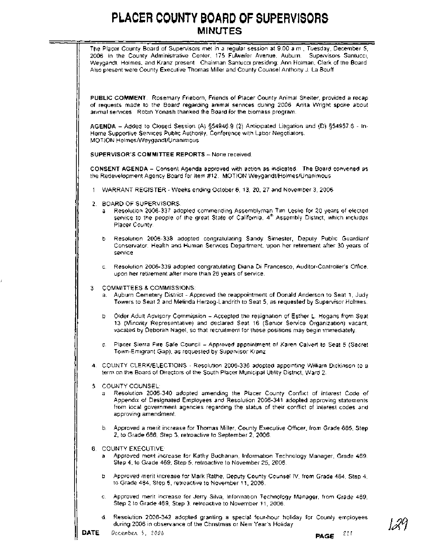The Placer County Board of Supervisors met in a regular session at 9:00 a.m., Tuesday, December 5, 2006, in the County Administrative Center, 175 Fulweiler Avenue, Auburn. Supervisors Santucci, Weygandt, Holmes, and Kranz present. Chairman Santucci presiding; Ann Holman. Clerk of the Board. Also present were County Executive Thomas Miller and County Counsel Anthony J. La Bouff **PUBLIC COMMENT:** Rosemary Frieborn, Friends of Placer County Animal Shelter, provided a recap of requests made to the Board regarding animal services during 2006. Anita Wright spoke about animal services. Robin Yonash thanked the Board for the biomass program. AGENDA - Added to Closed Session (A) §54946.9 (2) Anticipated Litigation and (D) §54957.6 - In-Home Supportive Services Public Authority, Conference with Labor Negotiators. MOTION Holmes/WeygandI/Unanimous **SUPERVISOR'S COMMITTEE REPORTS - None received. CONSENT AGENDA** - Consent Agenda approved with action as indicated. The Board convened as the Redevelopment Agency Board for Item #12. MOTION Weygandt/Holmes/Unanimous 1 WARRANT REGISTER - Weeks ending October 6, 13, 20, 27 and November 3, 2006. 2. BOARD OF SUPERVISORS: a Resolution 2006-337 adopted commending Assemblyman Tim Leslie for 20 years of elected service to the people of the great State of California,  $4<sup>th</sup>$  Assembly District, which includes Placer County. Resolution 2006-338 adopted congratulating Sandy Simester, Deputy Public Guardian/ Conservator, Health and Human Services Department, upon her retirement after 30 years of service. c. Resolution 2006-339 adopted congratulating Diana Di Francesco, Auditor-Controller's Office, upon her retirement after more than 26 years of service. 3. COMMITTEES & COMMISSIONS: a. Auburn Cemetery District - Approved the reappointment of Donald Anderson to Seat 1, Judy Towers to Seat 2 and Melinda Herzog-Landrith to Seat 5, as requested by Supervisor Holmes. b. Older Adult Advisory Commission -Accepted the resignation of Esther L. Hogans from Seat 13 (Minority Representative) and declared Seat 16 (Senior Service Organization) vacant, vacated by Deborah Nagel, so that recruitment for these positions may begin immediately. c. Placer Sierra Fire Safe Council - Approved appointment of Karen Calvert to Seat 5 (Secret Town-Emigrant Gap), as requested by Supervisor Kranz. 4. COUNTY CLERWELECTIONS - Resolution 2006-336 adopted appointing William Dickinson to a term on the Board of Directors of the South Placer Municipal Utility District, Ward 2. 5 COUNTY COUNSEL: a. Resolution 2006-340 adopted amending the Placer County Conflict of Interest Code of Appendix of Designated Employees and Resolution 2006-341 adopted approving statements from local government agencies regarding the status of their conflict of interest codes and approving amendment. b. Approved a merit increase for Thomas Miller, County Executive Officer, from Grade 686, Step 2. to Grade 686, Step 3, retroactive to September 2, 2006. 6. COUNTY EXECUTIVE: Approved merit increase for Kathy Buchanan, Information Technology Manager, Grade 469, Step 4, to Grade 469. Step **5.** retroactive to November 25, 2006. b Approved merit increase for Mark Rathe, Deputy County Counsel IV, from Grade 484, Step 4, to Grade 484, Step **5.** retroactive to November 11, 2006. c. Approved merit increase for Jerry Silva, Information Technology Manager, from Grade 469, Step 2 to Grade 469, Step 3, retroactive to November 11, 2006. d. Resolution 2006-342 adopted granting a special four-hour holiday for County employees during 2006 in observance of the Christmas or New Year's Holiday.<br>121 **PAGE Decemben 5.** 2006 **PAGE**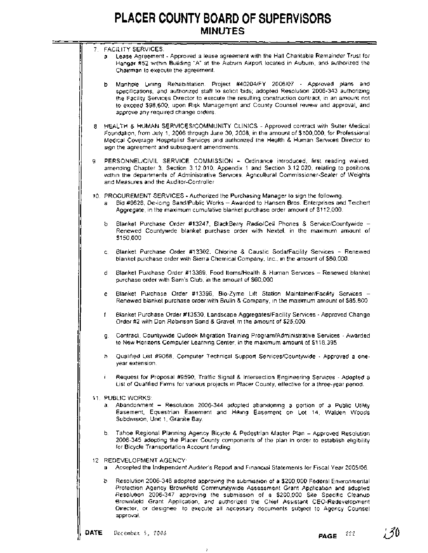|      | 7. FAGILITY SERVICES.<br>Lease Agreement - Approved a lease agreement with the Hall Charitable Remainder Trust for<br>э.<br>Hangar #52 within Building "A" at the Auburn Airport located in Auburn, and authorized the                                                                                                                                                                                                                                         |  |
|------|----------------------------------------------------------------------------------------------------------------------------------------------------------------------------------------------------------------------------------------------------------------------------------------------------------------------------------------------------------------------------------------------------------------------------------------------------------------|--|
|      | Chairman to execute the agreement.                                                                                                                                                                                                                                                                                                                                                                                                                             |  |
|      | - Manhole Lining Rehabilitation. Project #40204/FY 2006/07 - Approved plans and<br>b.<br>specifications, and authorized staff to solicit bids; adopted Resolution 2006-343 authorizing<br>the Facility Services Director to execute the resulting construction contract, in an amount not<br>to exceed \$98,600, upon Risk Management and County Counsel review and approval, and<br>approve any required change orders.                                       |  |
|      | 8 HEALTH & HUMAN SERVICES/COMMUNITY CLINICS - Approved contract with Sulter Medical<br>Foundation, from July 1, 2006 through June 30, 2008, in the amount of \$100,000, for Professional<br>Medical Coverage Hospitalist Services and authorized the Health & Human Services Director to<br>sign the agreement and subsequent amendments.                                                                                                                      |  |
| 9.   | PERSONNEL/CIVIL SERVICE COMMISSION - Ordinance introduced, first reading waived,<br>amending Chapter 3, Section 3.12.010, Appendix 1 and Section 3.12.020, relating to positions<br>within the departments of Administrative Services. Agricultural Commissioner-Sealer of Weights<br>and Measures and the Auditor-Controller                                                                                                                                  |  |
| a    | 10. PROCUREMENT SERVICES - Authorized the Purchasing Manager to sign the following.<br>Bid #9628, De-icing Sand/Public Works - Awarded to Hansen Bros. Enterprises and Teichert<br>Aggregate, in the maximum cumulative blanket purchase order amount of \$112,000.                                                                                                                                                                                            |  |
| b.   | Blanket Purchase Order #13247, BlackBerry Radio/Cell Phones & Service/Countywide -<br>Renewed Countywide blanket purchase order with Nextel, in the maximum amount of<br>\$150,000                                                                                                                                                                                                                                                                             |  |
|      | Blanket Purchase Order #13302, Chlorine & Caustic Soda/Facility Services - Renewed<br>C.<br>blanket purchase order with Sierra Chemical Company, Inc., in the amount of \$80,000.                                                                                                                                                                                                                                                                              |  |
| d    | Blanket Purchase Order #13389, Food Items/Health & Human Services - Renewed blanket<br>purchase order with Sam's Club, in the amount of \$60,000.                                                                                                                                                                                                                                                                                                              |  |
| е    | Blanket Purchase Order #13396, Bio-Zyme Lift Station Maintainer/Facility Services -<br>Renewed blanket purchase order with Brulin & Company, in the maximum amount of \$85,800.                                                                                                                                                                                                                                                                                |  |
| f    | Blanket Purchase Order #13530, Landscape Aggregates/Facility Services - Approved Change<br>Order #2 with Don Robinson Sand & Gravel, in the amount of \$25,000.                                                                                                                                                                                                                                                                                                |  |
|      | g. Contract, Countywide Outlook Migration Training Program/Administrative Services - Awarded<br>to New Horizons Computer Learning Center, in the maximum amount of \$118,395.                                                                                                                                                                                                                                                                                  |  |
| h.   | Qualified List #9068. Computer Technical Support Services/Countywide - Approved a one-<br>year extension.                                                                                                                                                                                                                                                                                                                                                      |  |
| i.   | Request for Proposal #9590, Traffic Signal & Intersection Engineering Services - Adopted a<br>List of Qualified Firms for various projects in Placer County, effective for a three-year period.                                                                                                                                                                                                                                                                |  |
|      | 11. PUBLIC WORKS:<br>a. Abandonment - Resolution 2006-344 adopted abandoning a portion of a Public Utility<br>Easement, Equestrian Easement and Hiking Easement on Lot 14, Walden Woods<br>Subdivision, Unit 1, Granite Bay.                                                                                                                                                                                                                                   |  |
|      | b. Tahoe Regional Planning Agency Bicycle & Pedestrian Master Plan - Approved Resolution<br>2006-345 adopting the Placer County components of the plan in order to establish eligibility<br>for Bicycle Transportation Account funding.                                                                                                                                                                                                                        |  |
| а    | 12 REDEVELOPMENT AGENCY<br>Accepted the Independent Auditor's Report and Financial Statements for Fiscal Year 2005/06.                                                                                                                                                                                                                                                                                                                                         |  |
| b.   | Resolution 2006-346 adopted approving the submission of a \$200,000 Federal Environmental<br>Protection Agency Brownfield Communitywide Assessment Grant Application and adopted<br>Resolution 2006-347 approving the submission of a \$200,000 Site Specific Cleanup<br>Brownfield Grant Application, and authorized the Chief Assistant CEO-Redevelopment<br>Director, or designee to execute all necessary documents subject to Agency Counsel<br>approval. |  |
| DATE | December 5, 2006<br>222<br><b>PAGE</b>                                                                                                                                                                                                                                                                                                                                                                                                                         |  |

 $\bar{\bf{y}}$ 

 $-$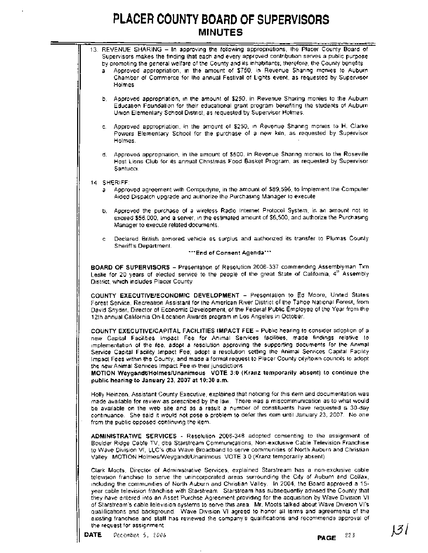$\cdot$ 

 $\equiv$ <u>—</u>

| 13. REVENUE SHARING - In approving the following appropriations, the Placer County Board of<br>Supervisors makes the finding that each and every approved contribution serves a public purpose<br>by promoting the general welfare of the County and its inhabitants; therefore, the County benefits<br>Approved appropriation, in the amount of \$750, in Revenue Sharing monies to Auburn<br>а<br>Chamber of Commerce for the annual Festival of Lights event, as requested by Supervisor<br>Holmes                                                                                                                                                                                                                                                                                                                                                                      |
|----------------------------------------------------------------------------------------------------------------------------------------------------------------------------------------------------------------------------------------------------------------------------------------------------------------------------------------------------------------------------------------------------------------------------------------------------------------------------------------------------------------------------------------------------------------------------------------------------------------------------------------------------------------------------------------------------------------------------------------------------------------------------------------------------------------------------------------------------------------------------|
| b. Approved appropriation, in the amount of \$250, in Revenue Sharing monies to the Auburn<br>Education Foundation for their educational grant program benefiting the students of Auburn<br>Union Elementary School District, as requested by Supervisor Holmes.                                                                                                                                                                                                                                                                                                                                                                                                                                                                                                                                                                                                           |
| c. Approved appropriation, in the amount of \$250, in Revenue Sharing monies to H. Clarke<br>Powers Elementary School for the purchase of a new kiin, as requested by Supervisor<br>Holmes.                                                                                                                                                                                                                                                                                                                                                                                                                                                                                                                                                                                                                                                                                |
| d. Approved appropriation, in the amount of \$500, in Revenue Sharing monies to the Roseville<br>Host Lions Club for its annual Christmas Food Basket Program, as requested by Supervisor<br>Santucci.                                                                                                                                                                                                                                                                                                                                                                                                                                                                                                                                                                                                                                                                     |
| 14 SHERIFF:                                                                                                                                                                                                                                                                                                                                                                                                                                                                                                                                                                                                                                                                                                                                                                                                                                                                |
| Approved agreement with Compudyne, in the amount of \$89,596, to implement the Computer<br>a<br>Aided Dispatch upgrade and authorize the Purchasing Manager to execute                                                                                                                                                                                                                                                                                                                                                                                                                                                                                                                                                                                                                                                                                                     |
| b. Approved the purchase of a wireless Radio Internet Protocol System, in an amount not to<br>exceed \$56,000, and a server, in the estimated amount of \$6,500, and authorize the Purchasing<br>Manager to execute related documents.                                                                                                                                                                                                                                                                                                                                                                                                                                                                                                                                                                                                                                     |
| Declared British armored vehicle as surplus and authorized its transfer to Plumas County<br>C.                                                                                                                                                                                                                                                                                                                                                                                                                                                                                                                                                                                                                                                                                                                                                                             |
| Sheriff's Department.<br>""End of Consent Agenda""                                                                                                                                                                                                                                                                                                                                                                                                                                                                                                                                                                                                                                                                                                                                                                                                                         |
|                                                                                                                                                                                                                                                                                                                                                                                                                                                                                                                                                                                                                                                                                                                                                                                                                                                                            |
| BOARD OF SUPERVISORS - Presentation of Resolution 2006-337 commending Assemblyman Tim<br>Leslie for 20 years of elected service to the people of the great State of California, 4 <sup>th</sup> Assembly<br>District, which includes Placer County.                                                                                                                                                                                                                                                                                                                                                                                                                                                                                                                                                                                                                        |
| COUNTY EXECUTIVE/ECONOMIC DEVELOPMENT - Presentation to Ed Moore, United States<br>Forest Service, Recreation Assistant for the American River District of the Tahoe National Forest, from<br>David Snyder, Director of Economic Development, of the Federal Public Employee of the Year from the<br>12th annual California On-Location Awards program in Los Angeles in October.                                                                                                                                                                                                                                                                                                                                                                                                                                                                                          |
| COUNTY EXECUTIVE/CAPITAL FACILITIES IMPACT FEE - Public hearing to consider adoption of a<br>new Capital Facilities Impact Fee for Animal Services facilities, made findings relative to<br>implementation of the fee, adopt a resolution approving the supporting documents for the Animal<br>Service Capital Facility Impact Fee; adopt a resolution setting the Animal Services Capital Facility<br>Impact Fees within the County, and made a formal request to Placer County city/town councils to adopt<br>the new Animal Services Impact Fee in their jurisdictions<br>MOTION Weygandt/Holmes/Unanimous VOTE 3:0 (Kranz temporarily absent) to continue the<br>public hearing to January 23, 2007 at 10:30 a.m.                                                                                                                                                      |
| Holly Heinzen, Assistant County Executive, explained that noticing for this item and documentation was<br>made available for review as prescribed by the law. There was a miscommunication as to what would<br>be available on the web site and as a result a number of constituents have requested a 30-day<br>continuance. She said it would not pose a problem to defer this item until January 23, 2007. No one<br>from the public opposed continuing the item.                                                                                                                                                                                                                                                                                                                                                                                                        |
| ADMINISTRATIVE SERVICES - Resolution 2006-348 adopted consenting to the assignment of<br>Boulder Ridge Cable TV, dba Starstream Communications, Non-exclusive Cable Television Franchise<br>to Wave Division VI, LLC's dba Wave Broadband to serve communities of North Auburn and Christian<br>Valley MOTION Holmes/Weygandt/Unanimous VOTE 3.0 (Kranz temporarily absent)                                                                                                                                                                                                                                                                                                                                                                                                                                                                                                |
| Clark Moots, Director of Administrative Services, explained Starstream has a non-exclusive cable<br>television franchise to serve the unincorporated areas surrounding the City of Auburn and Colfax,<br>including the communities of North Auburn and Christian Valley. In 2004, the Board approved a 15-<br>year cable television franchise with Starstream - Starstream has subsequently advised the County that<br>they have entered into an Asset Purchse Agreement providing for the acquisition by Wave Division VI<br>of Starstream's cable lelevision systems to serve this area. Mr. Moots talked about Wave Division VI's<br>qualifications and background. Wave Division VI agreed to honor all terms and agreements of the<br>existing franchise and staff has reviewed the company's qualifications and recommends approval of<br>the request for assignment |

 $\sim$ 

1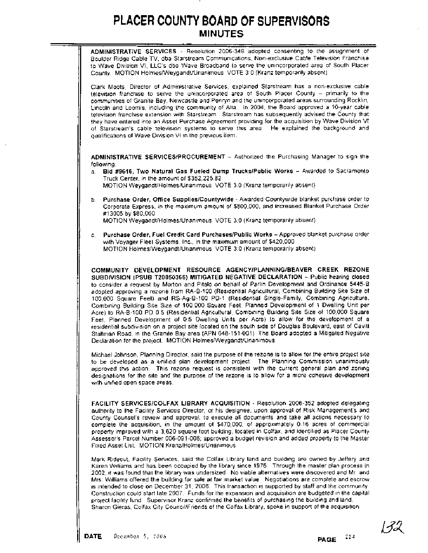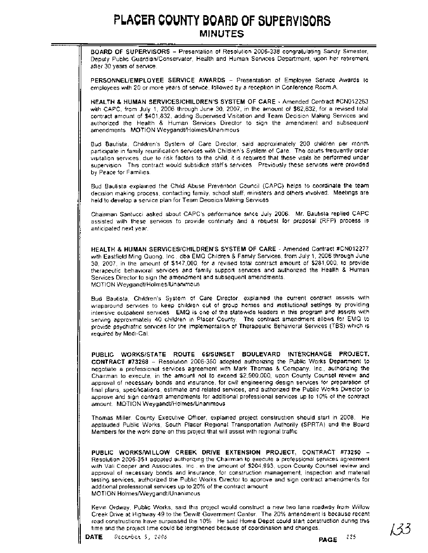**BOARD OF SUPERVISORS** - Presentation of Resolution 2006-338 congratulating Sandy Simester, Deputy Public Guardian/Conservator, Health and Human Services Department, upon her retirement after 30 years of service.

**PERSONNELIEMPLOYEE SERVICE AWARDS** - Presentation of Employee Service Awards to employees with 20 or more years of service, followed by a reception in Conference Room A.

**HEALTH** & **HUMAN SERVICESICHILDREN'S SYSTEM OF CARE** - Amended Contract #CN012263 with CAPC, from July 1, 2006 through June 30, 2007, in the amount of \$62,832, for a revised total contract amount of \$401,832, adding Supervised Visitation and Team Decision Making Services and authorized the Health & Human Services Director to sign the amendment and subsequent amendments. MOTION Weygandt/Holmes/Unanimous.

Bud Bautista, Children's System of Care Director, said approximately 200 children per month participate in family reunification services with Children's System of Care. The courts frequently order visitation services, due to risk factors to the child, it is required that these visits be performed under supervision This contract would subsidize staff's services. Previously these services were provided by Peace for Families.

Bud Bautista explained the Chlld Abuse Prevention Council (CAPC) helps to coordinate the team decision making process, contacting family, school staff, ministers and others involved. Meetings are held to develop a service plan for Team Decision Making Services.

Chairman Santucci asked about CAPC's performance since July 2006. Mr. Bautista replied CAPC assisted with these services to provide continuity and a request for proposal (RFP) process is anticipated next year.

**HEALTH** & **HUMAN SERVICESICHILDREN'S SYSTEM OF CARE** - Amended Contract #CN012277 with Eastfield Ming Quong, Inc., dba EMQ Children & Family Services, from July 1, 2006 through June 30, 2007, in the amount of \$147,000, for a revised total contract amount of \$281,000, to provide therapeutic behavioral services and family support services and authorized the Health & Human Services Director to sign the amendment and subsequent amendments. MOTION Weygandt/Holmes/Unanimous

Bud Bautista, Children's System of Care Director, explained the current contract assists wlth wraparound services to keep children out of group homes and institutional settings by providing intensive outpatient services. EMQ is one of the statewide leaders in this program and assists with serving approximately 40 children in Placer County. The contract amendment allows for EMQ to provide psychiatric services for the implementation of Therapeutic Behavioral Services (TBS) which is required by Medi-Cal.

**PUBLIC WORKSISTATE ROUTE 65lSUNSET BOULEVARD INTERCHANGE PROJECT, CONTRACT #73268** - Resolution 2006-350 adopted authorizing the Public Works Department to negotiate a professional services agreement with Mark Thomas & Company, Inc., authorizing the Chairman to execute, in the amount not to exceed \$2,500,000, upon County Counsel review and approval of necessary bonds and insurance, for civil engineering design services for preparation of final plans, specifications, estimate and related services, and authorized the Public Works Director to approve and sign contract amendments for additional professional services up to 10% of the contract amount. MOTION Weygandt/Holmes/Unanimous.

Thomas Miller, County Executive Officer, explained project construction should start in 2008. He applauded Public Works, South Placer Regional Transportation Authority (SPRTA) and the Board Members for the work done on this project that will assist with regional traffic

**PUBLIC WORKS/WILLOW CREEK DRIVE EXTENSION PROJECT, CONTRACT #73250 -** Resolution 2006-351 adopted authorizing the Chairman to execute a professional services agreement with Vali Cooper and Associates, Inc., in the amount of \$204,993, upon County Counsel review and approval of necessary bonds and insurance, for construction management, inspection and material testing services; authorized the Public Works Director to approve and sign contract amendments for additional professional services up to 20% of the contract amount. MOTION HolmesNVeygandtlUnanimous

Kevin Ordway, Public Works, said this project would construct a new two lane roadway from Willow Creek Drive at Highway 49 to the Dewitt Government Center. The 20% amendment is because recent road constructions have surpassed the 10%. He said Home Depot could start construction durlng this time and the project time could be lengthened because of coordination and changes.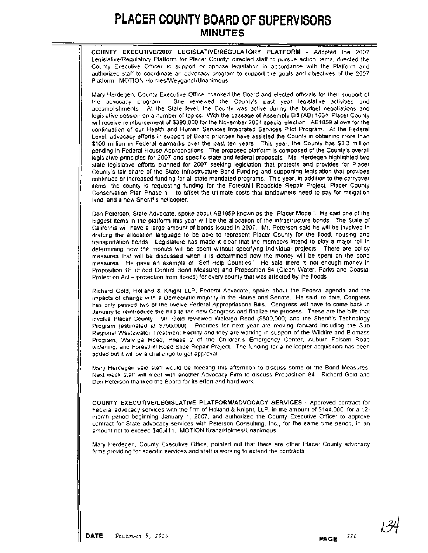-- COUNTY EXECUTIVE12007 LEGISLATIVEIREGULATORY PLATFORM - Adopted the 2007 LegislativelRegulatory Platform for Placer County; directed staff to pursue action items; directed the County Executive Officer to support or oppose legislation in accordance with the Platform and authorized staff to coordinate an advocacy program to support the goals and objectives of the 2007 Platform. MOTION Holmes/Weygandt/Unanimous

Mary Herdegen, County Executive Office, thanked the Board and elected officials for their support of<br>the ladvocacy liprogram. She lireviewed the County's lipsit lyear legislative lactivities and She reviewed the County's past year legislative activities and accomplishments. At the State level, the County was active during the budget negotiations and legislative sesslon on a number of topics. With the passage of Assembly Bill (AB) 1634, Placer County will receive reimbursement of \$390,000 for the November 2004 special election AB1859 allows for the continuation of our Health and Human Services Integrated Services Pilot Program. At the Federal Level, advocacy efforts in support of Board priorities have assisted the County in obtaining more than \$100 million In Federal earmarks over the past ten years. This year, the County has \$3.3 million pending in Federal House Appropriations. The proposed platform is composed of the County's overall legislative principles for 2007 and specrfic state and federal proposals. Ms. Herdegen highlighted two state legislative efforts planned for 2007 seeking legislation that protects and provides for Placer County's fair share of the State Infrastructure Bond Funding and supporting legislation that provides continued or increased funding for all state mandated programs. This year, in addition to the carryover items, the county is requesting funding for the Foresthill Roadside Repair Project, Placer County Conservation Plan Phase 1 - to offset the ultimate costs that landowners need to pay for mitigation land, and a new Sheriff's helicopter.

Don Peterson, State Advocate, spoke about AB1859 known as the "Placer Model". He said one of the biggest Items in the platform this year will be the allocation of the infrastructure bonds. The State of California will have a large amount of bonds issued in 2007. Mr. Peterson said he will be involved in drafting the allocation language to be able to represent Placer County for the flood, housing and transportation bonds. Legislature has made it clear that the members intend to play a major roll in determining how the monies will be spent without specifying individual projects. There are policy measures that will be discussed when it is determined how the money will be spent on the bond measures. He gave an example of "Self Help Counties." He said there is not enough money in Proposition 1E (Flood Control Bond Measure) and Proposition 84 (Clean Water, Parks and Coastal Protection Act - protection from floods) for every county that was affected by the floods.

Richard Gold, Holland & Knight LLP, Federal Advocate, spoke about the Federal agenda and the impacts of change with a Democratic majority in the House and Senate. He said, to date, Congress has only passed two of the twelve Federal Appropriations Bills. Congress will have to come back in January to reintroduce the bills to the new Congress and finalize the process. These are the bills that involve Placer County. Mr. Gold reviewed Walerga Road (\$500,000) and the Sheriff's Technology Program (estimated at \$750,000). Priorities for next year are moving forward including the Sub Regional Wastewater Treatment Facility and they are working in support of the Wildfire and Biomass Program, Walerga Road, Phase 2 of the Children's Emergency Center, Auburn Folsom Road widening, and Foresthill Road Slide Repair Project. The funding for a helicopter acquisition has been added but it will be a challenge to get approval.

Mary Herdegen said staff would be meeting this afternoon to discuss some of the Bond Measures. Next week staff will meet with another Advocacy Firm to discuss Proposition 84. Richard Gold and Don Peterson thanked the Board for its effort and hard work.

COUNTY EXECUTIVEILEGISLATIVE PLATFORMIADVOCACY SERVICES - Approved contract for Federal advocacy services with the firm of Holland 8 Knight, LLP, in the amount of \$144,000, for a 12 month period beginning January 1, 2007, and authorized the County Executive Officer to approve contract for State advocacy services with Peterson Consulting, Inc., for the same time period, in an amount not to exceed \$46,411. MOTION Kranz/HolmeslUnanimous

Mary Herdegen, County Executive Office, pointed out that there are other Placer County advocacy firms providing for specific services and staff is working to extend the contracts.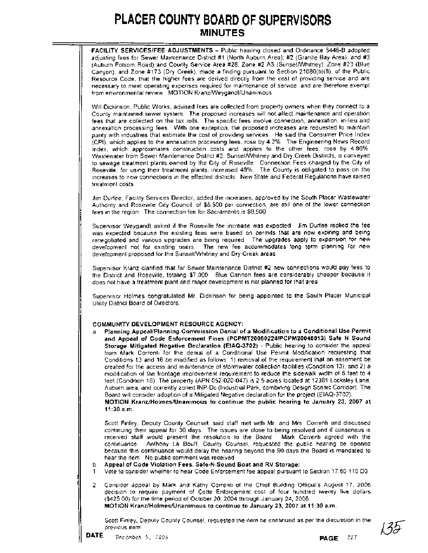